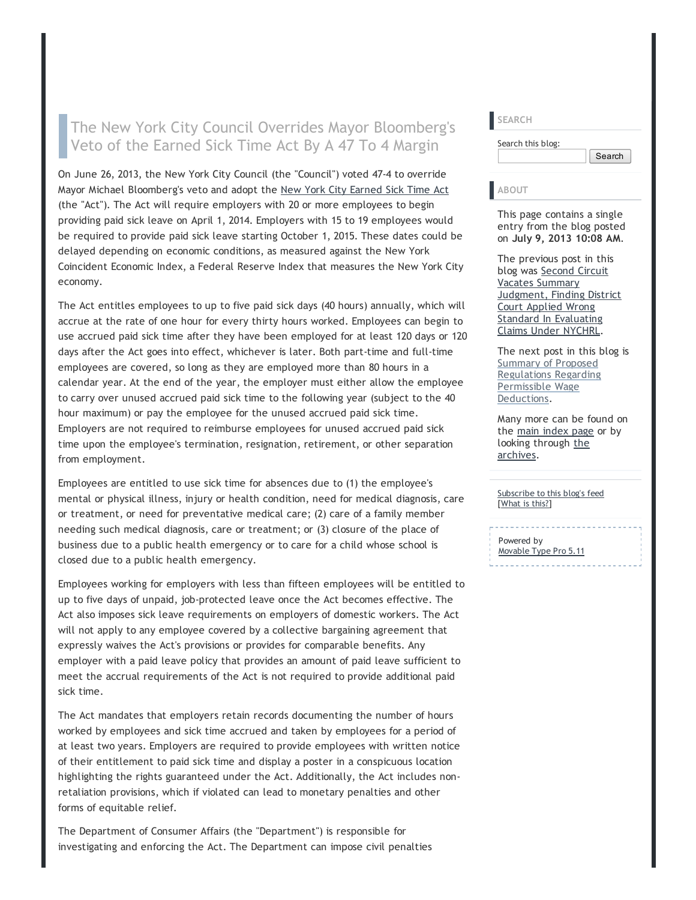## The New York City Council Overrides Mayor Bloomberg's Veto of the Earned Sick Time Act By A 47 To 4 Margin

On June 26, 2013, the New York City Council (the "Council") voted 47‐4 to override Mayor Michael Bloomberg's veto and adopt the [New York City Earned Sick Time Act](http://legistar.council.nyc.gov/LegislationDetail.aspx?ID=655220&GUID=8FEF6526-0C00-45D5-BD0B-617353F90F06&Options=ID%7cText%7c&Search=97) (the "Act"). The Act will require employers with 20 or more employees to begin providing paid sick leave on April 1, 2014. Employers with 15 to 19 employees would be required to provide paid sick leave starting October 1, 2015. These dates could be delayed depending on economic conditions, as measured against the New York Coincident Economic Index, a Federal Reserve Index that measures the New York City economy.

The Act entitles employees to up to five paid sick days (40 hours) annually, which will accrue at the rate of one hour for every thirty hours worked. Employees can begin to use accrued paid sick time after they have been employed for at least 120 days or 120 days after the Act goes into effect, whichever is later. Both part-time and full-time employees are covered, so long as they are employed more than 80 hours in a calendar year. At the end of the year, the employer must either allow the employee to carry over unused accrued paid sick time to the following year (subject to the 40 hour maximum) or pay the employee for the unused accrued paid sick time. Employers are not required to reimburse employees for unused accrued paid sick time upon the employee's termination, resignation, retirement, or other separation from employment.

Employees are entitled to use sick time for absences due to (1) the employee's mental or physical illness, injury or health condition, need for medical diagnosis, care or treatment, or need for preventative medical care; (2) care of a family member needing such medical diagnosis, care or treatment; or (3) closure of the place of business due to a public health emergency or to care for a child whose school is closed due to a public health emergency.

Employees working for employers with less than fifteen employees will be entitled to up to five days of unpaid, job‐protected leave once the Act becomes effective. The Act also imposes sick leave requirements on employers of domestic workers. The Act will not apply to any employee covered by a collective bargaining agreement that expressly waives the Act's provisions or provides for comparable benefits. Any employer with a paid leave policy that provides an amount of paid leave sufficient to meet the accrual requirements of the Act is not required to provide additional paid sick time.

The Act mandates that employers retain records documenting the number of hours worked by employees and sick time accrued and taken by employees for a period of at least two years. Employers are required to provide employees with written notice of their entitlement to paid sick time and display a poster in a conspicuous location highlighting the rights guaranteed under the Act. Additionally, the Act includes non‐ retaliation provisions, which if violated can lead to monetary penalties and other forms of equitable relief.

The Department of Consumer Affairs (the "Department") is responsible for investigating and enforcing the Act. The Department can impose civil penalties

| <b>SEARCH</b>     |        |
|-------------------|--------|
| Search this blog: |        |
|                   | Search |
|                   |        |

## ABOUT

This page contains a single entry from the blog posted on July 9, 2013 10:08 AM.

The previous post in this blog was Second Circuit Vacates Summary **[Judgment, Finding District](http://nysbar.com/blogs/LENY/2013/06/second_circuit_vacates_summary.html)** Court Applied Wrong Standard In Evaluating Claims Under NYCHRL.

The next post in this blog is Summary of Proposed [Regulations Regarding](http://nysbar.com/blogs/LENY/2013/07/summary_of_proposed_regulation.html) Permissible Wage Deductions.

Many more can be found on the [main index page](http://nysbar.com/blogs/LENY/) or by [looking through the](http://nysbar.com/blogs/LENY/archives.html) archives.

[Subscribe to this blog's feed](http://nysbar.com/blogs/LENY/atom.xml) [[What is this?\]](http://www.sixapart.com/about/feeds)

Powered by

[Movable Type Pro 5.11](http://www.sixapart.com/movabletype/)